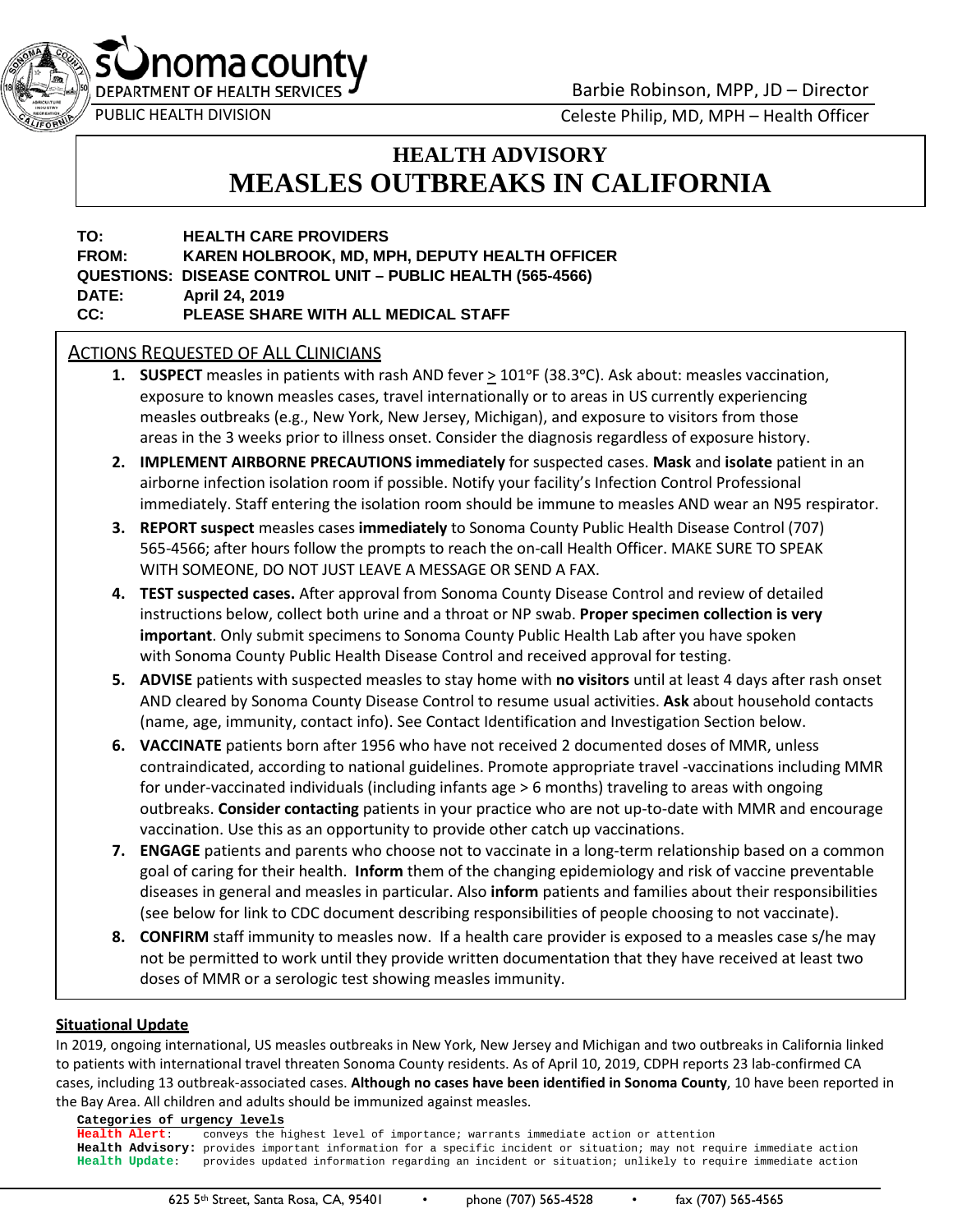

Barbie Robinson, MPP, JD – Director

noma county

PUBLIC HEALTH DIVISION Celeste Philip, MD, MPH – Health Officer

# **HEALTH ADVISORY MEASLES OUTBREAKS IN CALIFORNIA**

# **FROM: KAREN HOLBROOK, MD, MPH, DEPUTY HEALTH OFFICER TO: HEALTH CARE PROVIDERS QUESTIONS: DISEASE CONTROL UNIT – PUBLIC HEALTH (565-4566) DATE: April 24, 2019 CC: PLEASE SHARE WITH ALL MEDICAL STAFF**

# **ACTIONS REQUESTED OF ALL CLINICIANS**

- **1. SUSPECT** measles in patients with rash AND fever  $\geq 101^{\circ}$ F (38.3°C). Ask about: measles vaccination, exposure to known measles cases, travel internationally or to areas in US currently experiencing measles outbreaks (e.g., New York, New Jersey, Michigan), and exposure to visitors from those areas in the 3 weeks prior to illness onset. Consider the diagnosis regardless of exposure history.
- immediately. Staff entering the isolation room should be immune to measles AND wear an N95 respirator. **2. IMPLEMENT AIRBORNE PRECAUTIONS immediately** for suspected cases. **Mask** and **isolate** patient in an airborne infection isolation room if possible. Notify your facility's Infection Control Professional
- 565-4566; after hours follow the prompts to reach the on-call Health Officer. MAKE SURE TO SPEAK WITH SOMEONE, DO NOT JUST LEAVE A MESSAGE OR SEND A FAX. **3. REPORT suspect** measles cases **immediately** to Sonoma County Public Health Disease Control (707)
- **4. TEST suspected cases.** After approval from Sonoma County Disease Control and review of detailed instructions below, collect both urine and a throat or NP swab. **Proper specimen collection is very important**. Only submit specimens to Sonoma County Public Health Lab after you have spoken with Sonoma County Public Health Disease Control and received approval for testing.
- **5. ADVISE** patients with suspected measles to stay home with **no visitors** until at least 4 days after rash onset AND cleared by Sonoma County Disease Control to resume usual activities. **Ask** about household contacts (name, age, immunity, contact info). See Contact Identification and Investigation Section below.
- **6. VACCINATE** patients born after 1956 who have not received 2 documented doses of MMR, unless vaccination. Use this as an opportunity to provide other catch up vaccinations. contraindicated, according to national guidelines. Promote appropriate travel -vaccinations including MMR for under-vaccinated individuals (including infants age > 6 months) traveling to areas with ongoing outbreaks. **Consider contacting** patients in your practice who are not up-to-date with MMR and encourage
- goal of caring for their health. **Inform** them of the changing epidemiology and risk of vaccine preventable (see below for link to CDC document describing responsibilities of people choosing to not vaccinate). **7. ENGAGE** patients and parents who choose not to vaccinate in a long-term relationship based on a common diseases in general and measles in particular. Also **inform** patients and families about their responsibilities
- **8. CONFIRM** staff immunity to measles now. If a health care provider is exposed to a measles case s/he may doses of MMR or a serologic test showing measles immunity. not be permitted to work until they provide written documentation that they have received at least two

#### **Situational Update**

In 2019, ongoing international, US measles outbreaks in New York, New Jersey and Michigan and two outbreaks in California linked to patients with international travel threaten Sonoma County residents. As of April 10, 2019, CDPH reports 23 lab-confirmed CA cases, including 13 outbreak-associated cases. **Although no cases have been identified in Sonoma County**, 10 have been reported in the Bay Area. All children and adults should be immunized against measles.

 **Categories of urgency levels Health Alert**: conveys the highest level of importance; warrants immediate action or attention **Health Advisory:** provides important information for a specific incident or situation; may not require immediate action **Health Update**: provides updated information regarding an incident or situation; unlikely to require immediate action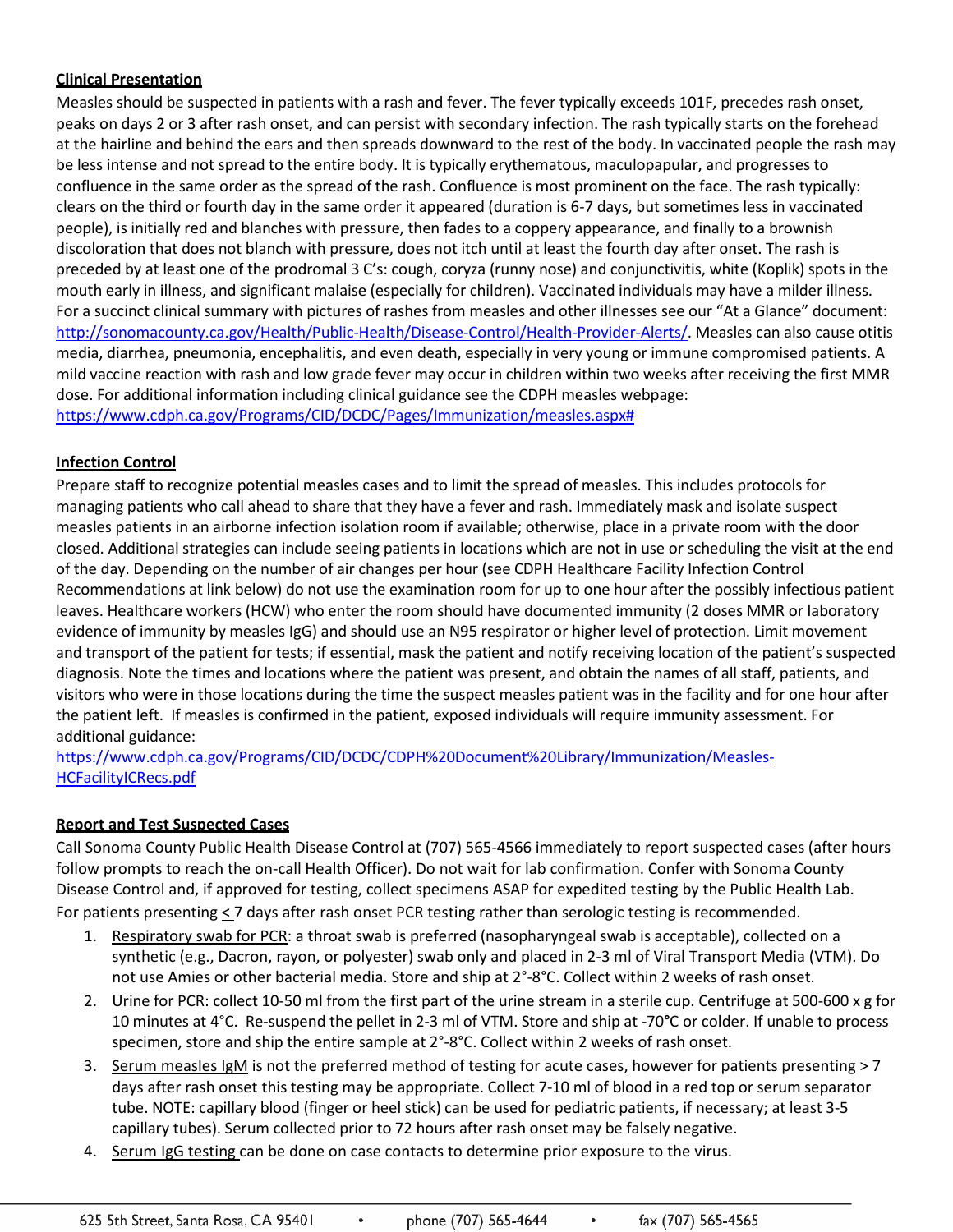# **Clinical Presentation**

 Measles should be suspected in patients with a rash and fever. The fever typically exceeds 101F, precedes rash onset, peaks on days 2 or 3 after rash onset, and can persist with secondary infection. The rash typically starts on the forehead be less intense and not spread to the entire body. It is typically erythematous, maculopapular, and progresses to confluence in the same order as the spread of the rash. Confluence is most prominent on the face. The rash typically: clears on the third or fourth day in the same order it appeared (duration is 6-7 days, but sometimes less in vaccinated people), is initially red and blanches with pressure, then fades to a coppery appearance, and finally to a brownish discoloration that does not blanch with pressure, does not itch until at least the fourth day after onset. The rash is preceded by at least one of the prodromal 3 C's: cough, coryza (runny nose) and conjunctivitis, white (Koplik) spots in the mouth early in illness, and significant malaise (especially for children). Vaccinated individuals may have a milder illness. For a succinct clinical summary with pictures of rashes from measles and other illnesses see our "At a Glance" document: media, diarrhea, pneumonia, encephalitis, and even death, especially in very young or immune compromised patients. A mild vaccine reaction with rash and low grade fever may occur in children within two weeks after receiving the first MMR dose. For additional information including clinical guidance see the CDPH measles webpage: [https://www.cdph.ca.gov/Programs/CID/DCDC/Pages/Immunization/measles.aspx#](https://www.cdph.ca.gov/Programs/CID/DCDC/Pages/Immunization/measles.aspx) at the hairline and behind the ears and then spreads downward to the rest of the body. In vaccinated people the rash may http://sonomacounty.ca.gov/Health/Public[-Health/Disease-Control/Health-Provider-Alerts/.](http://sonomacounty.ca.gov/Health/Public-Health/Disease-Control/Health-Provider-Alerts/) Measles can also cause otitis

# **Infection Control**

 Prepare staff to recognize potential measles cases and to limit the spread of measles. This includes protocols for measles patients in an airborne infection isolation room if available; otherwise, place in a private room with the door closed. Additional strategies can include seeing patients in locations which are not in use or scheduling the visit at the end of the day. Depending on the number of air changes per hour (see CDPH Healthcare Facility Infection Control Recommendations at link below) do not use the examination room for up to one hour after the possibly infectious patient leaves. Healthcare workers (HCW) who enter the room should have documented immunity (2 doses MMR or laboratory evidence of immunity by measles IgG) and should use an N95 respirator or higher level of protection. Limit movement and transport of the patient for tests; if essential, mask the patient and notify receiving location of the patient's suspected diagnosis. Note the times and locations where the patient was present, and obtain the names of all staff, patients, and visitors who were in those locations during the time the suspect measles patient was in the facility and for one hour after the patient left. If measles is confirmed in the patient, exposed individuals will require immunity assessment. For additional guidance: managing patients who call ahead to share that they have a fever and rash. Immediately mask and isolate suspect

 [HCFacilityICRecs.pdf](https://www.cdph.ca.gov/Programs/CID/DCDC/CDPH%20Document%20Library/Immunization/Measles-HCFacilityICRecs.pdf) [https://www.cdph.ca.gov/Programs/CID/DCDC/CDPH%20Document%20Library/Immunization/Measles](https://www.cdph.ca.gov/Programs/CID/DCDC/CDPH%20Document%20Library/Immunization/Measles-HCFacilityICRecs.pdf)-

# **Report and Test Suspected Cases**

 Call Sonoma County Public Health Disease Control at (707) 565-4566 immediately to report suspected cases (after hours follow prompts to reach the on-call Health Officer). Do not wait for lab confirmation. Confer with Sonoma County For patients presenting < 7 days after rash onset PCR testing rather than serologic testing is recommended. Disease Control and, if approved for testing, collect specimens ASAP for expedited testing by the Public Health Lab.

- 1. Respiratory swab for PCR: a throat swab is preferred (nasopharyngeal swab is acceptable), collected on a synthetic (e.g., Dacron, rayon, or polyester) swab only and placed in 2-3 ml of Viral Transport Media (VTM). Do not use Amies or other bacterial media. Store and ship at 2°-8°C. Collect within 2 weeks of rash onset.
- 2. Urine for PCR: collect 10-50 ml from the first part of the urine stream in a sterile cup. Centrifuge at 500-600 x g for 10 minutes at 4°C. Re-suspend the pellet in 2-3 ml of VTM. Store and ship at -70**°**C or colder. If unable to process specimen, store and ship the entire sample at 2°-8°C. Collect within 2 weeks of rash onset.
- days after rash onset this testing may be appropriate. Collect 7-10 ml of blood in a red top or serum separator tube. NOTE: capillary blood (finger or heel stick) can be used for pediatric patients, if necessary; at least 3-5 3. Serum measles IgM is not the preferred method of testing for acute cases, however for patients presenting > 7 capillary tubes). Serum collected prior to 72 hours after rash onset may be falsely negative.
- 4. Serum IgG testing can be done on case contacts to determine prior exposure to the virus.